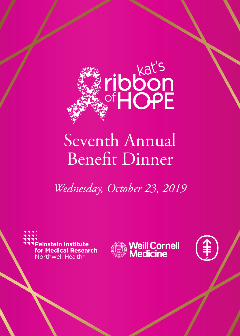

## Seventh Annual Benefit Dinner

*Wednesday, October 23, 2019*

**Feinstein Institute** for Medical Research Northwell Health<sup>®</sup>



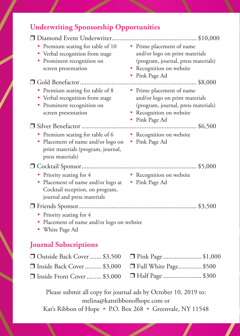## **Underwriting Sponsorship Opportunities**

| Premium seating for table of 10<br>• Verbal recognition from stage<br>Prominent recognition on<br>screen presentation          | • Prime placement of name<br>and/or logo on print materials<br>(program, journal, press materials)<br>• Recognition on website<br>• Pink Page Ad |
|--------------------------------------------------------------------------------------------------------------------------------|--------------------------------------------------------------------------------------------------------------------------------------------------|
|                                                                                                                                |                                                                                                                                                  |
| Premium seating for table of 8<br>• Verbal recognition from stage<br>Prominent recognition on<br>screen presentation           | • Prime placement of name<br>and/or logo on print materials<br>(program, journal, press materials)<br>Recognition on website<br>• Pink Page Ad   |
|                                                                                                                                |                                                                                                                                                  |
| • Premium seating for table of 6<br>Placement of name and/or logo on<br>print materials (program, journal,<br>press materials) | • Recognition on website<br>• Pink Page Ad                                                                                                       |
|                                                                                                                                |                                                                                                                                                  |
| • Priority seating for 4<br>Placement of name and/or logo at<br>Cocktail reception, on program,<br>journal and press materials | • Recognition on website<br>• Pink Page Ad                                                                                                       |
|                                                                                                                                |                                                                                                                                                  |
| Priority seating for 4<br>Placement of name and/or logo on website<br>White Page Ad                                            |                                                                                                                                                  |

## **Journal Subscriptions**

| □ Outside Back Cover  \$3,500 □ Pink Page  \$1,000   |  |
|------------------------------------------------------|--|
| □ Inside Back Cover  \$3,000 □ Full White Page \$500 |  |
| □ Inside Front Cover  \$3,000 □ Half Page  \$300     |  |

Please submit all copy for journal ads by October 10, 2019 to: melina@katsribbonofhope.com or Kat's Ribbon of Hope • P.O. Box 268 • Greenvale, NY 11548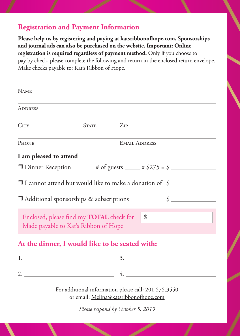## **Registration and Payment Information**

**Please help us by registering and paying at katsribbonofhope.com. Sponsorships and journal ads can also be purchased on the website. Important: Online registration is required regardless of payment method.** Only if you choose to pay by check, please complete the following and return in the enclosed return envelope. Make checks payable to: Kat's Ribbon of Hope.

| <b>NAME</b>                                                                                                                  |                      |          |  |  |  |
|------------------------------------------------------------------------------------------------------------------------------|----------------------|----------|--|--|--|
| <b>ADDRESS</b>                                                                                                               |                      |          |  |  |  |
| CITY                                                                                                                         | <b>STATE</b>         | $Z_{IP}$ |  |  |  |
| <b>PHONE</b>                                                                                                                 | <b>EMAIL ADDRESS</b> |          |  |  |  |
| I am pleased to attend                                                                                                       |                      |          |  |  |  |
|                                                                                                                              |                      |          |  |  |  |
| □ I cannot attend but would like to make a donation of \$<br>$\mathcal{S}$<br>$\Box$ Additional sponsorships & subscriptions |                      |          |  |  |  |
| Enclosed, please find my <b>TOTAL</b> check for   \$<br>Made payable to Kat's Ribbon of Hope                                 |                      |          |  |  |  |
| At the dinner, I would like to be seated with:                                                                               |                      |          |  |  |  |
|                                                                                                                              |                      |          |  |  |  |
|                                                                                                                              |                      |          |  |  |  |
| For additional information please call: 201.575.3550<br>or email: Melina@katsribbonofhope.com                                |                      |          |  |  |  |
| Please respond by October 5, 2019                                                                                            |                      |          |  |  |  |